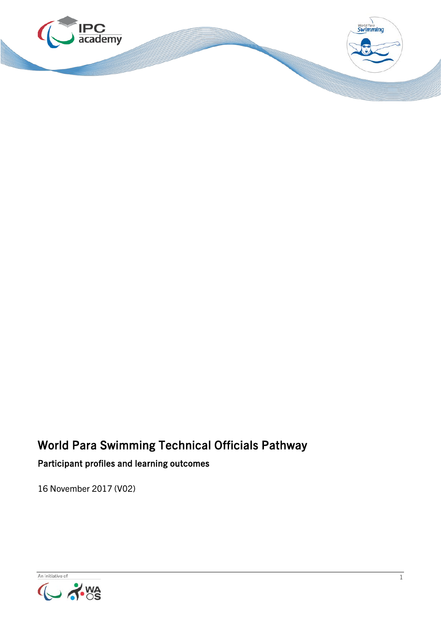

# World Para Swimming Technical Officials Pathway

### Participant profiles and learning outcomes

16 November 2017 (V02)

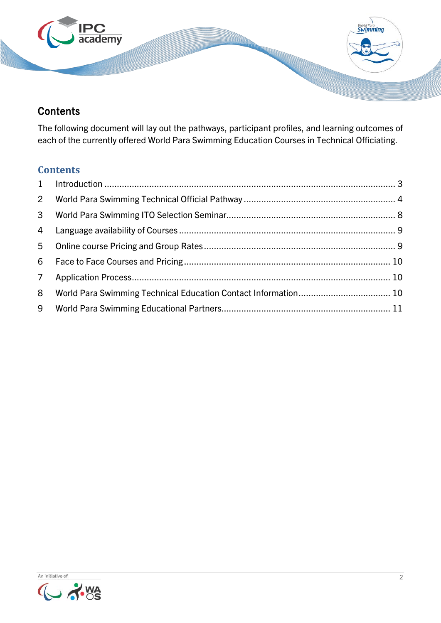

### **Contents**

The following document will lay out the pathways, participant profiles, and learning outcomes of each of the currently offered World Para Swimming Education Courses in Technical Officiating.

### **Contents**

| 8 |  |
|---|--|
|   |  |

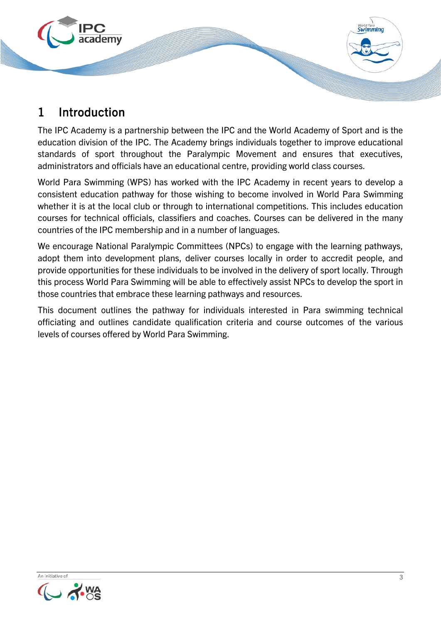

## <span id="page-2-0"></span>1 Introduction

The IPC Academy is a partnership between the IPC and the World Academy of Sport and is the education division of the IPC. The Academy brings individuals together to improve educational standards of sport throughout the Paralympic Movement and ensures that executives, administrators and officials have an educational centre, providing world class courses.

World Para Swimming (WPS) has worked with the IPC Academy in recent years to develop a consistent education pathway for those wishing to become involved in World Para Swimming whether it is at the local club or through to international competitions. This includes education courses for technical officials, classifiers and coaches. Courses can be delivered in the many countries of the IPC membership and in a number of languages.

We encourage National Paralympic Committees (NPCs) to engage with the learning pathways, adopt them into development plans, deliver courses locally in order to accredit people, and provide opportunities for these individuals to be involved in the delivery of sport locally. Through this process World Para Swimming will be able to effectively assist NPCs to develop the sport in those countries that embrace these learning pathways and resources.

This document outlines the pathway for individuals interested in Para swimming technical officiating and outlines candidate qualification criteria and course outcomes of the various levels of courses offered by World Para Swimming.

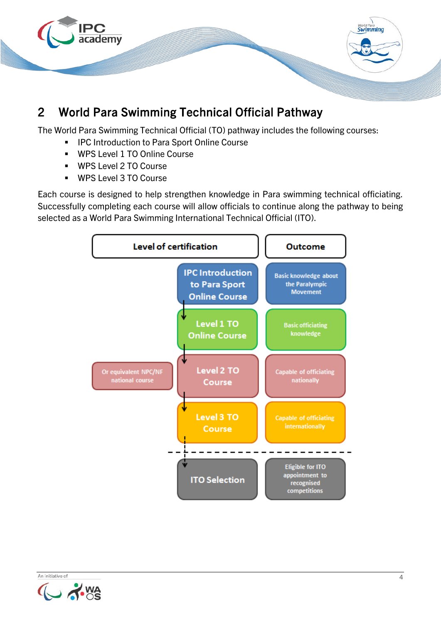

# <span id="page-3-0"></span>2 World Para Swimming Technical Official Pathway

The World Para Swimming Technical Official (TO) pathway includes the following courses:

- IPC Introduction to Para Sport Online Course
- WPS Level 1 TO Online Course
- WPS Level 2 TO Course
- WPS Level 3 TO Course

Each course is designed to help strengthen knowledge in Para swimming technical officiating. Successfully completing each course will allow officials to continue along the pathway to being selected as a World Para Swimming International Technical Official (ITO).



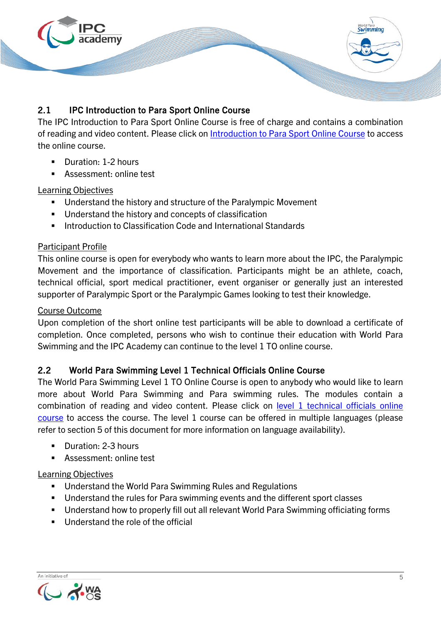

### 2.1 IPC Introduction to Para Sport Online Course

The IPC Introduction to Para Sport Online Course is free of charge and contains a combination of reading and video content. Please click on [Introduction to Para Sport](http://www.ipc-academy.org/?academy=1&course=47) Online Course to access the online course.

- Duration: 1-2 hours
- **Assessment: online test**

#### Learning Objectives

- Understand the history and structure of the Paralympic Movement
- Understand the history and concepts of classification
- **Introduction to Classification Code and International Standards**

#### Participant Profile

This online course is open for everybody who wants to learn more about the IPC, the Paralympic Movement and the importance of classification. Participants might be an athlete, coach, technical official, sport medical practitioner, event organiser or generally just an interested supporter of Paralympic Sport or the Paralympic Games looking to test their knowledge.

#### Course Outcome

Upon completion of the short online test participants will be able to download a certificate of completion. Once completed, persons who wish to continue their education with World Para Swimming and the IPC Academy can continue to the level 1 TO online course.

#### 2.2 World Para Swimming Level 1 Technical Officials Online Course

The World Para Swimming Level 1 TO Online Course is open to anybody who would like to learn more about World Para Swimming and Para swimming rules. The modules contain a combination of reading and video content. Please click on [level 1 technical officials online](https://www.ipc-academy.org/index.php?academy=1&course=89)  [course](https://www.ipc-academy.org/index.php?academy=1&course=89) to access the course. The level 1 course can be offered in multiple languages (please refer to section 5 of this document for more information on language availability).

- **Duration: 2-3 hours**
- Assessment: online test

#### Learning Objectives

- **Understand the World Para Swimming Rules and Regulations**
- **Understand the rules for Para swimming events and the different sport classes**
- Understand how to properly fill out all relevant World Para Swimming officiating forms
- Understand the role of the official

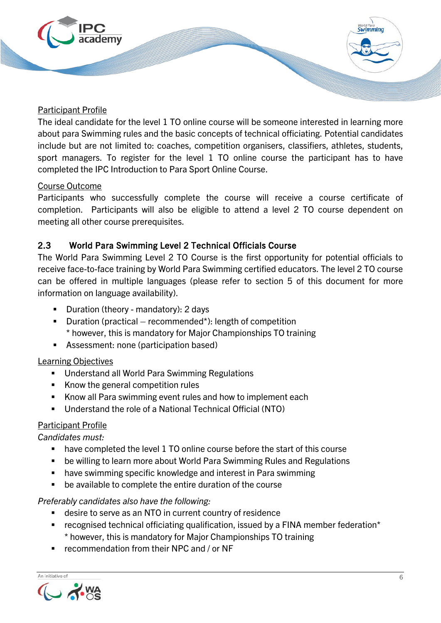

#### Participant Profile

The ideal candidate for the level 1 TO online course will be someone interested in learning more about para Swimming rules and the basic concepts of technical officiating. Potential candidates include but are not limited to: coaches, competition organisers, classifiers, athletes, students, sport managers. To register for the level 1 TO online course the participant has to have completed the IPC Introduction to Para Sport Online Course.

#### Course Outcome

Participants who successfully complete the course will receive a course certificate of completion. Participants will also be eligible to attend a level 2 TO course dependent on meeting all other course prerequisites.

#### 2.3 World Para Swimming Level 2 Technical Officials Course

The World Para Swimming Level 2 TO Course is the first opportunity for potential officials to receive face-to-face training by World Para Swimming certified educators. The level 2 TO course can be offered in multiple languages (please refer to section 5 of this document for more information on language availability).

- **Duration (theory mandatory): 2 days**
- **Duration (practical recommended\*): length of competition** \* however, this is mandatory for Major Championships TO training
- Assessment: none (participation based)

#### Learning Objectives

- **Understand all World Para Swimming Regulations**
- Know the general competition rules
- Know all Para swimming event rules and how to implement each
- Understand the role of a National Technical Official (NTO)

#### Participant Profile

*Candidates must:*

- have completed the level 1 TO online course before the start of this course
- be willing to learn more about World Para Swimming Rules and Regulations
- **have swimming specific knowledge and interest in Para swimming**
- be available to complete the entire duration of the course

#### *Preferably candidates also have the following:*

- desire to serve as an NTO in current country of residence
- recognised technical officiating qualification, issued by a FINA member federation\* \* however, this is mandatory for Major Championships TO training
- recommendation from their NPC and / or NF

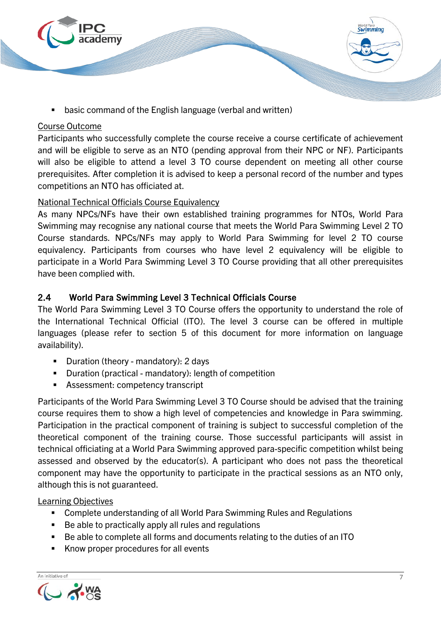

basic command of the English language (verbal and written)

#### Course Outcome

Participants who successfully complete the course receive a course certificate of achievement and will be eligible to serve as an NTO (pending approval from their NPC or NF). Participants will also be eligible to attend a level 3 TO course dependent on meeting all other course prerequisites. After completion it is advised to keep a personal record of the number and types competitions an NTO has officiated at.

#### National Technical Officials Course Equivalency

As many NPCs/NFs have their own established training programmes for NTOs, World Para Swimming may recognise any national course that meets the World Para Swimming Level 2 TO Course standards. NPCs/NFs may apply to World Para Swimming for level 2 TO course equivalency. Participants from courses who have level 2 equivalency will be eligible to participate in a World Para Swimming Level 3 TO Course providing that all other prerequisites have been complied with.

#### 2.4 World Para Swimming Level 3 Technical Officials Course

The World Para Swimming Level 3 TO Course offers the opportunity to understand the role of the International Technical Official (ITO). The level 3 course can be offered in multiple languages (please refer to section 5 of this document for more information on language availability).

- **Duration (theory mandatory): 2 days**
- Duration (practical mandatory): length of competition
- Assessment: competency transcript

Participants of the World Para Swimming Level 3 TO Course should be advised that the training course requires them to show a high level of competencies and knowledge in Para swimming. Participation in the practical component of training is subject to successful completion of the theoretical component of the training course. Those successful participants will assist in technical officiating at a World Para Swimming approved para-specific competition whilst being assessed and observed by the educator(s). A participant who does not pass the theoretical component may have the opportunity to participate in the practical sessions as an NTO only, although this is not guaranteed.

#### Learning Objectives

- Complete understanding of all World Para Swimming Rules and Regulations
- Be able to practically apply all rules and regulations
- Be able to complete all forms and documents relating to the duties of an ITO
- Know proper procedures for all events

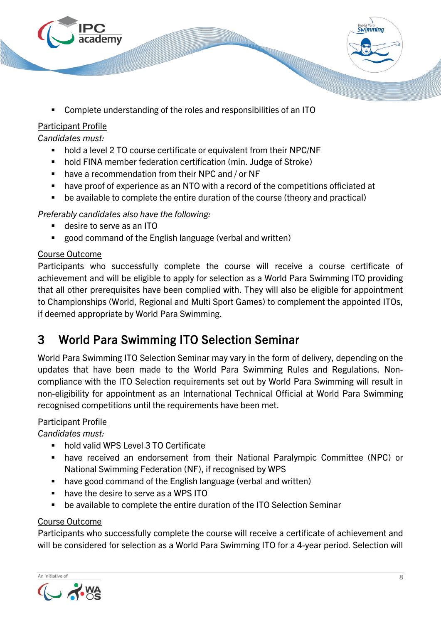

Complete understanding of the roles and responsibilities of an ITO

### Participant Profile

*Candidates must:*

- hold a level 2 TO course certificate or equivalent from their NPC/NF
- hold FINA member federation certification (min. Judge of Stroke)
- have a recommendation from their NPC and / or NF
- have proof of experience as an NTO with a record of the competitions officiated at
- be available to complete the entire duration of the course (theory and practical)

*Preferably candidates also have the following:*

- desire to serve as an ITO
- good command of the English language (verbal and written)

### Course Outcome

Participants who successfully complete the course will receive a course certificate of achievement and will be eligible to apply for selection as a World Para Swimming ITO providing that all other prerequisites have been complied with. They will also be eligible for appointment to Championships (World, Regional and Multi Sport Games) to complement the appointed ITOs, if deemed appropriate by World Para Swimming.

## <span id="page-7-0"></span>3 World Para Swimming ITO Selection Seminar

World Para Swimming ITO Selection Seminar may vary in the form of delivery, depending on the updates that have been made to the World Para Swimming Rules and Regulations. Noncompliance with the ITO Selection requirements set out by World Para Swimming will result in non-eligibility for appointment as an International Technical Official at World Para Swimming recognised competitions until the requirements have been met.

### Participant Profile

*Candidates must:*

- hold valid WPS Level 3 TO Certificate
- have received an endorsement from their National Paralympic Committee (NPC) or National Swimming Federation (NF), if recognised by WPS
- have good command of the English language (verbal and written)
- have the desire to serve as a WPS ITO
- be available to complete the entire duration of the ITO Selection Seminar

#### Course Outcome

Participants who successfully complete the course will receive a certificate of achievement and will be considered for selection as a World Para Swimming ITO for a 4-year period. Selection will

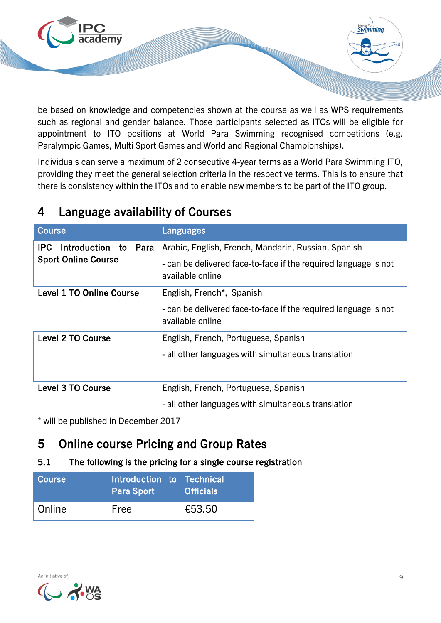

be based on knowledge and competencies shown at the course as well as WPS requirements such as regional and gender balance. Those participants selected as ITOs will be eligible for appointment to ITO positions at World Para Swimming recognised competitions (e.g. Paralympic Games, Multi Sport Games and World and Regional Championships).

Individuals can serve a maximum of 2 consecutive 4-year terms as a World Para Swimming ITO, providing they meet the general selection criteria in the respective terms. This is to ensure that there is consistency within the ITOs and to enable new members to be part of the ITO group.

| Course                                                     | Languages                                                                                                                                  |
|------------------------------------------------------------|--------------------------------------------------------------------------------------------------------------------------------------------|
| Introduction to Para<br>IPC.<br><b>Sport Online Course</b> | Arabic, English, French, Mandarin, Russian, Spanish<br>- can be delivered face-to-face if the required language is not<br>available online |
| <b>Level 1 TO Online Course</b>                            | English, French*, Spanish<br>- can be delivered face-to-face if the required language is not<br>available online                           |
| <b>Level 2 TO Course</b>                                   | English, French, Portuguese, Spanish<br>- all other languages with simultaneous translation                                                |
| <b>Level 3 TO Course</b>                                   | English, French, Portuguese, Spanish<br>- all other languages with simultaneous translation                                                |

# <span id="page-8-0"></span>4 Language availability of Courses

\* will be published in December 2017

# <span id="page-8-1"></span>5 Online course Pricing and Group Rates

### 5.1 The following is the pricing for a single course registration

| <b>Course</b> | Introduction to Technical<br><b>Para Sport</b> | <b>Officials</b> ' |
|---------------|------------------------------------------------|--------------------|
| <b>Online</b> | Free                                           | €53.50             |

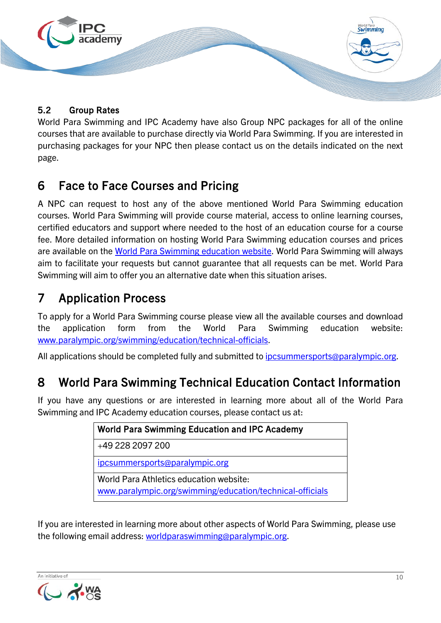

### 5.2 Group Rates

World Para Swimming and IPC Academy have also Group NPC packages for all of the online courses that are available to purchase directly via World Para Swimming. If you are interested in purchasing packages for your NPC then please contact us on the details indicated on the next page.

# <span id="page-9-0"></span>6 Face to Face Courses and Pricing

A NPC can request to host any of the above mentioned World Para Swimming education courses. World Para Swimming will provide course material, access to online learning courses, certified educators and support where needed to the host of an education course for a course fee. More detailed information on hosting World Para Swimming education courses and prices are available on the [World Para Swimming](https://www.paralympic.org/swimming/education) education website. World Para Swimming will always aim to facilitate your requests but cannot guarantee that all requests can be met. World Para Swimming will aim to offer you an alternative date when this situation arises.

# <span id="page-9-1"></span>7 Application Process

To apply for a World Para Swimming course please view all the available courses and download the application form from the World Para Swimming education website: [www.paralympic.org/swimming/education/technical-officials.](https://www.paralympic.org/swimming/education/technical-officials)

All applications should be completed fully and submitted to [ipcsummersports@paralympic.org.](mailto:ipcsummersports@paralympic.org)

# <span id="page-9-2"></span>8 World Para Swimming Technical Education Contact Information

If you have any questions or are interested in learning more about all of the World Para Swimming and IPC Academy education courses, please contact us at:

| <b>World Para Swimming Education and IPC Academy</b>                                                 |
|------------------------------------------------------------------------------------------------------|
| +49 228 2097 200                                                                                     |
| ipcsummersports@paralympic.org                                                                       |
| World Para Athletics education website:<br>www.paralympic.org/swimming/education/technical-officials |

If you are interested in learning more about other aspects of World Para Swimming, please use the following email address: [worldparaswimming@paralympic.org.](mailto:worldparaswimming@paralympic.org)